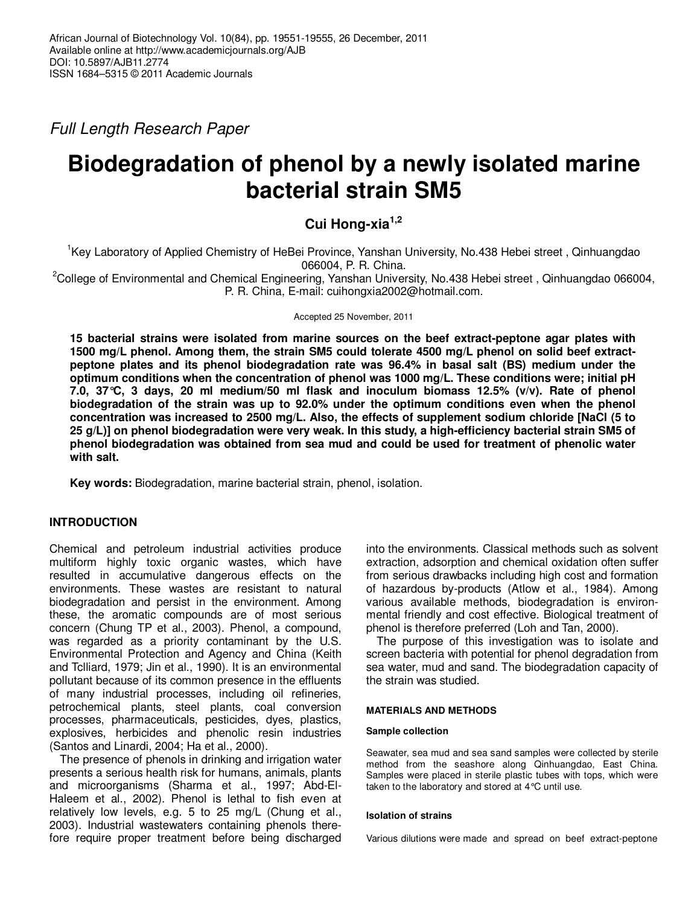Full Length Research Paper

# **Biodegradation of phenol by a newly isolated marine bacterial strain SM5**

# **Cui Hong-xia1,2**

<sup>1</sup>Key Laboratory of Applied Chemistry of HeBei Province, Yanshan University, No.438 Hebei street, Qinhuangdao 066004, P. R. China.

<sup>2</sup>College of Environmental and Chemical Engineering, Yanshan University, No.438 Hebei street , Qinhuangdao 066004, P. R. China, E-mail: cuihongxia2002@hotmail.com.

Accepted 25 November, 2011

**15 bacterial strains were isolated from marine sources on the beef extract-peptone agar plates with 1500 mg/L phenol. Among them, the strain SM5 could tolerate 4500 mg/L phenol on solid beef extractpeptone plates and its phenol biodegradation rate was 96.4% in basal salt (BS) medium under the optimum conditions when the concentration of phenol was 1000 mg/L. These conditions were; initial pH 7.0, 37°C, 3 days, 20 ml medium/50 ml flask and inoculum biomass 12.5% (v/v). Rate of phenol biodegradation of the strain was up to 92.0% under the optimum conditions even when the phenol concentration was increased to 2500 mg/L. Also, the effects of supplement sodium chloride [NaCl (5 to 25 g/L)] on phenol biodegradation were very weak. In this study, a high-efficiency bacterial strain SM5 of phenol biodegradation was obtained from sea mud and could be used for treatment of phenolic water with salt.** 

**Key words:** Biodegradation, marine bacterial strain, phenol, isolation.

# **INTRODUCTION**

Chemical and petroleum industrial activities produce multiform highly toxic organic wastes, which have resulted in accumulative dangerous effects on the environments. These wastes are resistant to natural biodegradation and persist in the environment. Among these, the aromatic compounds are of most serious concern (Chung TP et al., 2003). Phenol, a compound, was regarded as a priority contaminant by the U.S. Environmental Protection and Agency and China (Keith and Tclliard, 1979; Jin et al., 1990). It is an environmental pollutant because of its common presence in the effluents of many industrial processes, including oil refineries, petrochemical plants, steel plants, coal conversion processes, pharmaceuticals, pesticides, dyes, plastics, explosives, herbicides and phenolic resin industries (Santos and Linardi, 2004; Ha et al., 2000).

The presence of phenols in drinking and irrigation water presents a serious health risk for humans, animals, plants and microorganisms (Sharma et al., 1997; Abd-El-Haleem et al., 2002). Phenol is lethal to fish even at relatively low levels, e.g. 5 to 25 mg/L (Chung et al., 2003). Industrial wastewaters containing phenols therefore require proper treatment before being discharged

into the environments. Classical methods such as solvent extraction, adsorption and chemical oxidation often suffer from serious drawbacks including high cost and formation of hazardous by-products (Atlow et al., 1984). Among various available methods, biodegradation is environmental friendly and cost effective. Biological treatment of phenol is therefore preferred (Loh and Tan, 2000).

The purpose of this investigation was to isolate and screen bacteria with potential for phenol degradation from sea water, mud and sand. The biodegradation capacity of the strain was studied.

### **MATERIALS AND METHODS**

#### **Sample collection**

Seawater, sea mud and sea sand samples were collected by sterile method from the seashore along Qinhuangdao, East China. Samples were placed in sterile plastic tubes with tops, which were taken to the laboratory and stored at 4°C until use.

#### **Isolation of strains**

Various dilutions were made and spread on beef extract-peptone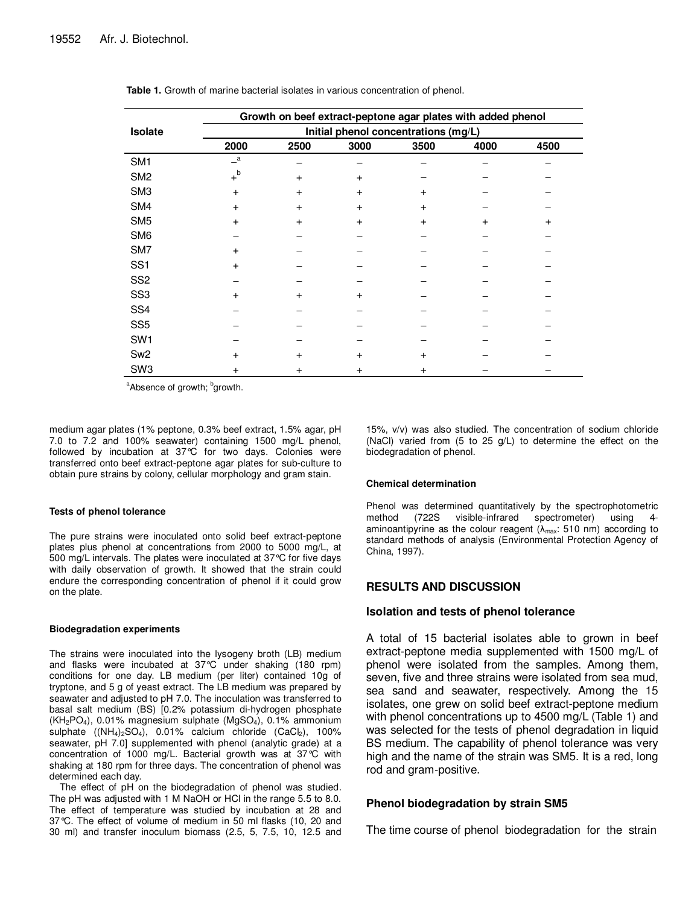|                 | Growth on beef extract-peptone agar plates with added phenol<br>Initial phenol concentrations (mg/L) |           |           |           |           |      |  |
|-----------------|------------------------------------------------------------------------------------------------------|-----------|-----------|-----------|-----------|------|--|
| Isolate         |                                                                                                      |           |           |           |           |      |  |
|                 | 2000                                                                                                 | 2500      | 3000      | 3500      | 4000      | 4500 |  |
| SM <sub>1</sub> | $\overline{\phantom{a}}^a$                                                                           |           |           |           |           |      |  |
| SM <sub>2</sub> | $+^{\mathsf{b}}$                                                                                     | $+$       | $+$       |           |           |      |  |
| SM <sub>3</sub> | $\ddot{}$                                                                                            | $+$       | $+$       | $\pmb{+}$ |           |      |  |
| SM4             | $\ddot{}$                                                                                            | $+$       | $\ddot{}$ | $+$       |           |      |  |
| SM <sub>5</sub> | $\ddot{}$                                                                                            | $+$       | $+$       | $+$       | $\pmb{+}$ | +    |  |
| SM <sub>6</sub> |                                                                                                      |           |           |           |           |      |  |
| SM7             | $\ddot{}$                                                                                            |           |           |           |           |      |  |
| SS <sub>1</sub> | $\ddot{}$                                                                                            |           |           |           |           |      |  |
| SS <sub>2</sub> |                                                                                                      |           |           |           |           |      |  |
| SS <sub>3</sub> | $\ddot{}$                                                                                            | $+$       | $+$       |           |           |      |  |
| SS <sub>4</sub> |                                                                                                      |           |           |           |           |      |  |
| SS <sub>5</sub> |                                                                                                      |           |           |           |           |      |  |
| SW <sub>1</sub> |                                                                                                      |           |           |           |           |      |  |
| Sw <sub>2</sub> | $\ddot{}$                                                                                            | $\ddot{}$ | $+$       | $\ddot{}$ |           |      |  |
| SW <sub>3</sub> | +                                                                                                    | $\ddot{}$ | $\ddot{}$ | +         |           |      |  |

| <b>Table 1.</b> Growth of marine bacterial isolates in various concentration of phenol. |
|-----------------------------------------------------------------------------------------|
|-----------------------------------------------------------------------------------------|

<sup>a</sup>Absence of growth; <sup>b</sup>growth.

medium agar plates (1% peptone, 0.3% beef extract, 1.5% agar, pH 7.0 to 7.2 and 100% seawater) containing 1500 mg/L phenol, followed by incubation at 37°C for two days. Colonies were transferred onto beef extract-peptone agar plates for sub-culture to obtain pure strains by colony, cellular morphology and gram stain.

#### **Tests of phenol tolerance**

The pure strains were inoculated onto solid beef extract-peptone plates plus phenol at concentrations from 2000 to 5000 mg/L, at 500 mg/L intervals. The plates were inoculated at 37°C for five days with daily observation of growth. It showed that the strain could endure the corresponding concentration of phenol if it could grow on the plate.

#### **Biodegradation experiments**

The strains were inoculated into the lysogeny broth (LB) medium and flasks were incubated at 37°C under shaking (180 rpm) conditions for one day. LB medium (per liter) contained 10g of tryptone, and 5 g of yeast extract. The LB medium was prepared by seawater and adjusted to pH 7.0. The inoculation was transferred to basal salt medium (BS) [0.2% potassium di-hydrogen phosphate  $(KH_2PO_4)$ , 0.01% magnesium sulphate  $(MgSO_4)$ , 0.1% ammonium sulphate  $((NH_4)_2SO_4)$ , 0.01% calcium chloride  $(CaCl_2)$ , 100% seawater, pH 7.0] supplemented with phenol (analytic grade) at a concentration of 1000 mg/L. Bacterial growth was at 37°C with shaking at 180 rpm for three days. The concentration of phenol was determined each day.

The effect of pH on the biodegradation of phenol was studied. The pH was adjusted with 1 M NaOH or HCl in the range 5.5 to 8.0. The effect of temperature was studied by incubation at 28 and 37°C. The effect of volume of medium in 50 ml flasks (10, 20 and 30 ml) and transfer inoculum biomass (2.5, 5, 7.5, 10, 12.5 and 15%, v/v) was also studied. The concentration of sodium chloride (NaCl) varied from (5 to 25 g/L) to determine the effect on the biodegradation of phenol.

#### **Chemical determination**

Phenol was determined quantitatively by the spectrophotometric method (722S visible-infrared spectrometer) using 4 aminoantipyrine as the colour reagent  $(\lambda_{max}: 510 \text{ nm})$  according to standard methods of analysis (Environmental Protection Agency of China, 1997).

#### **RESULTS AND DISCUSSION**

#### **Isolation and tests of phenol tolerance**

A total of 15 bacterial isolates able to grown in beef extract-peptone media supplemented with 1500 mg/L of phenol were isolated from the samples. Among them, seven, five and three strains were isolated from sea mud, sea sand and seawater, respectively. Among the 15 isolates, one grew on solid beef extract-peptone medium with phenol concentrations up to 4500 mg/L (Table 1) and was selected for the tests of phenol degradation in liquid BS medium. The capability of phenol tolerance was very high and the name of the strain was SM5. It is a red, long rod and gram-positive.

#### **Phenol biodegradation by strain SM5**

The time course of phenol biodegradation for the strain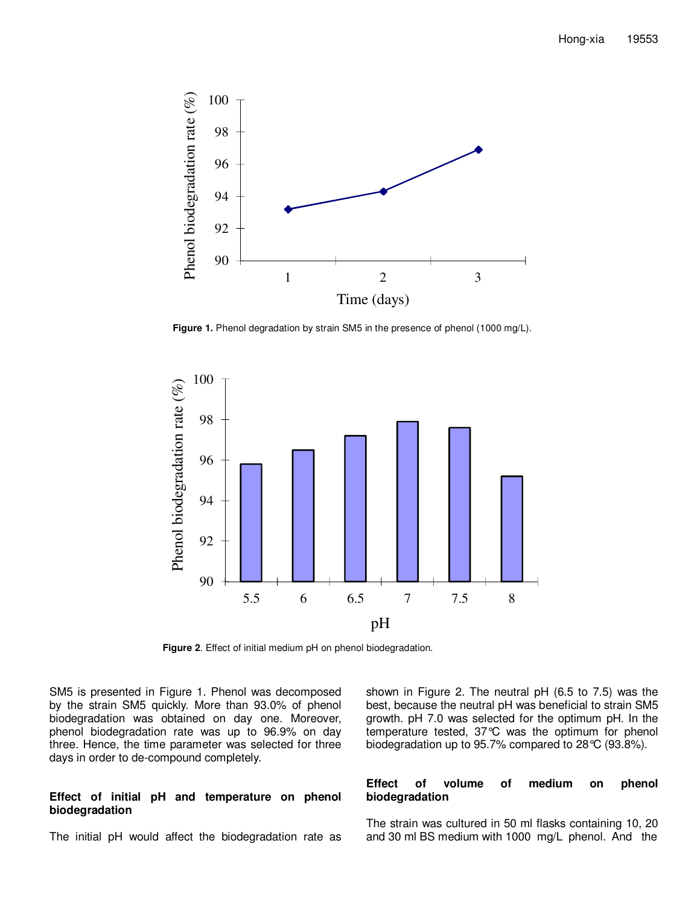

**Figure 1.** Phenol degradation by strain SM5 in the presence of phenol (1000 mg/L).



**Figure 2**. Effect of initial medium pH on phenol biodegradation.

SM5 is presented in Figure 1. Phenol was decomposed by the strain SM5 quickly. More than 93.0% of phenol biodegradation was obtained on day one. Moreover, phenol biodegradation rate was up to 96.9% on day three. Hence, the time parameter was selected for three days in order to de-compound completely.

#### **Effect of initial pH and temperature on phenol biodegradation**

The initial pH would affect the biodegradation rate as

shown in Figure 2. The neutral pH (6.5 to 7.5) was the best, because the neutral pH was beneficial to strain SM5 growth. pH 7.0 was selected for the optimum pH. In the temperature tested, 37°C was the optimum for phenol biodegradation up to 95.7% compared to 28°C (93.8%).

#### **Effect of volume of medium on phenol biodegradation**

The strain was cultured in 50 ml flasks containing 10, 20 and 30 ml BS medium with 1000 mg/L phenol. And the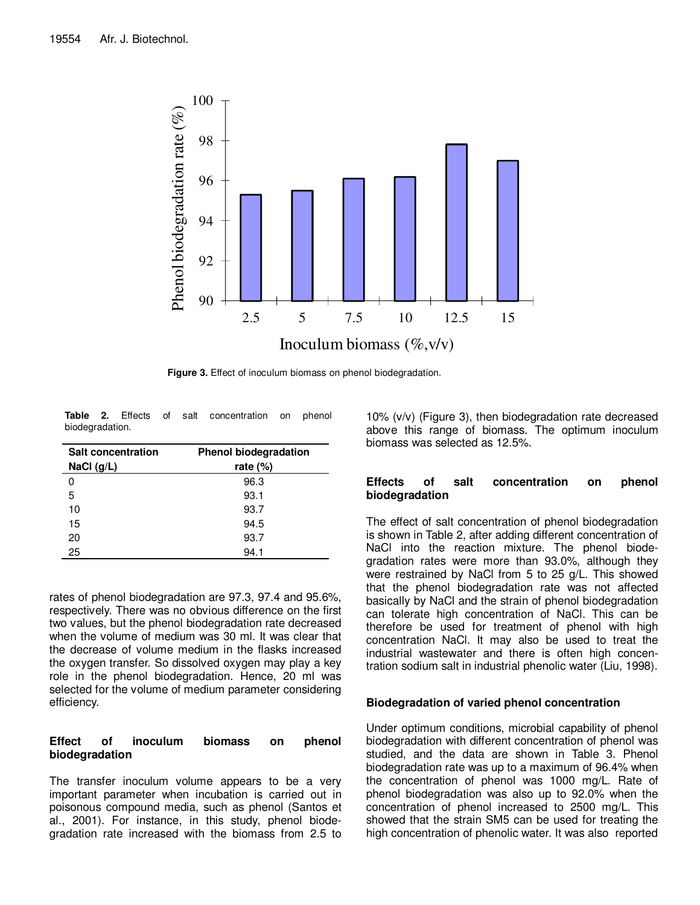

**Figure 3.** Effect of inoculum biomass on phenol biodegradation.

**Table 2.** Effects of salt concentration on phenol biodegradation.

| <b>Salt concentration</b><br>NaCl $(q/L)$ | <b>Phenol biodegradation</b><br>rate $(\%)$ |  |  |
|-------------------------------------------|---------------------------------------------|--|--|
| 0                                         | 96.3                                        |  |  |
| 5                                         | 93.1                                        |  |  |
| 10                                        | 93.7                                        |  |  |
| 15                                        | 94.5                                        |  |  |
| 20                                        | 93.7                                        |  |  |
| 25                                        | 94.1                                        |  |  |

rates of phenol biodegradation are 97.3, 97.4 and 95.6%, respectively. There was no obvious difference on the first two values, but the phenol biodegradation rate decreased when the volume of medium was 30 ml. It was clear that the decrease of volume medium in the flasks increased the oxygen transfer. So dissolved oxygen may play a key role in the phenol biodegradation. Hence, 20 ml was selected for the volume of medium parameter considering efficiency.

# **Effect of inoculum biomass on phenol biodegradation**

The transfer inoculum volume appears to be a very important parameter when incubation is carried out in poisonous compound media, such as phenol (Santos et al., 2001). For instance, in this study, phenol biodegradation rate increased with the biomass from 2.5 to 10% (v/v) (Figure 3), then biodegradation rate decreased above this range of biomass. The optimum inoculum biomass was selected as 12.5%.

# **Effects of salt concentration on phenol biodegradation**

The effect of salt concentration of phenol biodegradation is shown in Table 2, after adding different concentration of NaCl into the reaction mixture. The phenol biodegradation rates were more than 93.0%, although they were restrained by NaCl from 5 to 25 g/L. This showed that the phenol biodegradation rate was not affected basically by NaCl and the strain of phenol biodegradation can tolerate high concentration of NaCl. This can be therefore be used for treatment of phenol with high concentration NaCl. It may also be used to treat the industrial wastewater and there is often high concentration sodium salt in industrial phenolic water (Liu, 1998).

# **Biodegradation of varied phenol concentration**

Under optimum conditions, microbial capability of phenol biodegradation with different concentration of phenol was studied, and the data are shown in Table 3. Phenol biodegradation rate was up to a maximum of 96.4% when the concentration of phenol was 1000 mg/L. Rate of phenol biodegradation was also up to 92.0% when the concentration of phenol increased to 2500 mg/L. This showed that the strain SM5 can be used for treating the high concentration of phenolic water. It was also reported